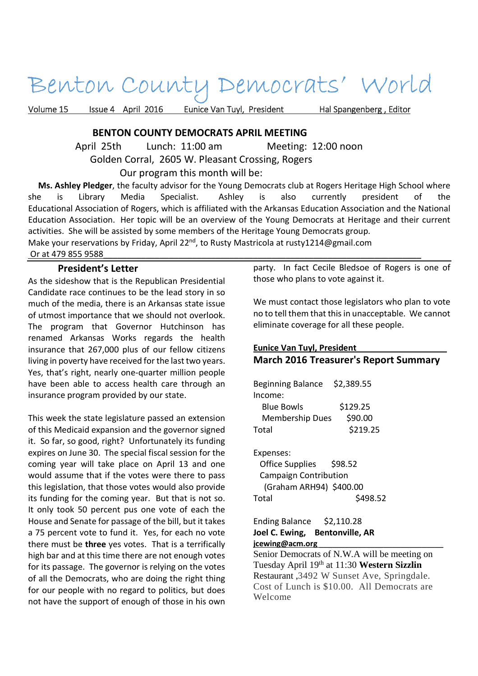# Benton County Democrats' World

Volume 15 Issue 4 April 2016 Eunice Van Tuyl, President Hal Spangenberg, Editor

## **BENTON COUNTY DEMOCRATS APRIL MEETING**

April 25th Lunch: 11:00 am Meeting: 12:00 noon

Golden Corral, 2605 W. Pleasant Crossing, Rogers

Our program this month will be:

 **Ms. Ashley Pledger**, the faculty advisor for the Young Democrats club at Rogers Heritage High School where she is Library Media Specialist. Ashley is also currently president of the Educational Association of Rogers, which is affiliated with the Arkansas Education Association and the National Education Association. Her topic will be an overview of the Young Democrats at Heritage and their current activities. She will be assisted by some members of the Heritage Young Democrats group.

Make your reservations by Friday, April 22<sup>nd</sup>, to Rusty Mastricola at rusty1214@gmail.com Or at 479 855 9588

## **President's Letter**

As the sideshow that is the Republican Presidential Candidate race continues to be the lead story in so much of the media, there is an Arkansas state issue of utmost importance that we should not overlook. The program that Governor Hutchinson has renamed Arkansas Works regards the health insurance that 267,000 plus of our fellow citizens living in poverty have received for the last two years. Yes, that's right, nearly one-quarter million people have been able to access health care through an insurance program provided by our state.

This week the state legislature passed an extension of this Medicaid expansion and the governor signed it. So far, so good, right? Unfortunately its funding expires on June 30. The special fiscal session for the coming year will take place on April 13 and one would assume that if the votes were there to pass this legislation, that those votes would also provide its funding for the coming year. But that is not so. It only took 50 percent pus one vote of each the House and Senate for passage of the bill, but it takes a 75 percent vote to fund it. Yes, for each no vote there must be **three** yes votes. That is a terrifically high bar and at this time there are not enough votes for its passage. The governor is relying on the votes of all the Democrats, who are doing the right thing for our people with no regard to politics, but does not have the support of enough of those in his own

party. In fact Cecile Bledsoe of Rogers is one of those who plans to vote against it.

We must contact those legislators who plan to vote no to tell them that this in unacceptable. We cannot eliminate coverage for all these people.

# **Eunice Van Tuyl, President** \_\_\_\_\_\_\_\_\_\_\_\_\_\_\_\_\_\_ **March 2016 Treasurer's Report Summary**

Beginning Balance \$2,389.55 Income: Blue Bowls \$129.25 Membership Dues \$90.00 Total \$219.25 Expenses: Office Supplies \$98.52 Campaign Contribution (Graham ARH94) \$400.00 Total \$498.52

#### Ending Balance \$2,110.28 **Joel C. Ewing, Bentonville, AR jcewing@acm.org** \_\_\_\_\_\_\_\_\_\_\_\_\_\_\_\_\_\_\_\_\_\_\_\_\_\_\_\_\_

Senior Democrats of N.W.A will be meeting on Tuesday April 19th at 11:30 **Western Sizzlin** Restaurant ,3492 W Sunset Ave, Springdale. Cost of Lunch is \$10.00. All Democrats are Welcome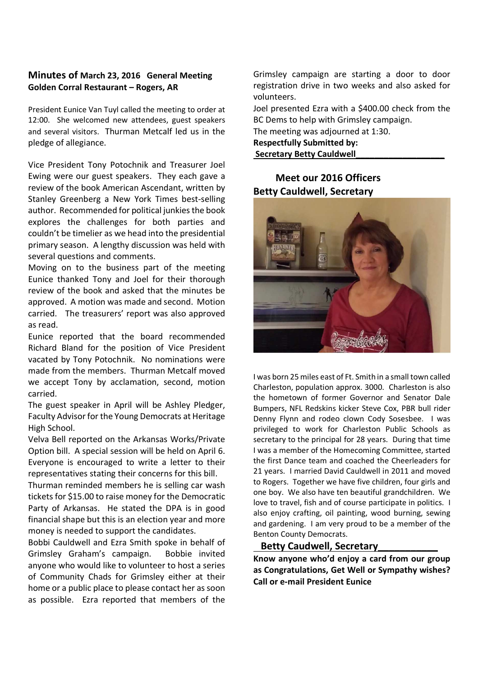## **Minutes of March 23, 2016 General Meeting Golden Corral Restaurant – Rogers, AR**

President Eunice Van Tuyl called the meeting to order at 12:00. She welcomed new attendees, guest speakers and several visitors. Thurman Metcalf led us in the pledge of allegiance.

Vice President Tony Potochnik and Treasurer Joel Ewing were our guest speakers. They each gave a review of the book American Ascendant, written by Stanley Greenberg a New York Times best-selling author. Recommended for political junkies the book explores the challenges for both parties and couldn't be timelier as we head into the presidential primary season. A lengthy discussion was held with several questions and comments.

Moving on to the business part of the meeting Eunice thanked Tony and Joel for their thorough review of the book and asked that the minutes be approved. A motion was made and second. Motion carried. The treasurers' report was also approved as read.

Eunice reported that the board recommended Richard Bland for the position of Vice President vacated by Tony Potochnik. No nominations were made from the members. Thurman Metcalf moved we accept Tony by acclamation, second, motion carried.

The guest speaker in April will be Ashley Pledger, Faculty Advisor for the Young Democrats at Heritage High School.

Velva Bell reported on the Arkansas Works/Private Option bill. A special session will be held on April 6. Everyone is encouraged to write a letter to their representatives stating their concerns for this bill.

Thurman reminded members he is selling car wash tickets for \$15.00 to raise money for the Democratic Party of Arkansas. He stated the DPA is in good financial shape but this is an election year and more money is needed to support the candidates.

Bobbi Cauldwell and Ezra Smith spoke in behalf of Grimsley Graham's campaign. Bobbie invited anyone who would like to volunteer to host a series of Community Chads for Grimsley either at their home or a public place to please contact her as soon as possible. Ezra reported that members of the

Grimsley campaign are starting a door to door registration drive in two weeks and also asked for volunteers.

Joel presented Ezra with a \$400.00 check from the BC Dems to help with Grimsley campaign.

The meeting was adjourned at 1:30.

**Respectfully Submitted by: Secretary Betty Cauldwell\_\_\_\_\_\_\_\_\_\_\_\_\_\_\_\_\_\_\_** 

# **Meet our 2016 Officers Betty Cauldwell, Secretary**



I was born 25 miles east of Ft. Smith in a small town called Charleston, population approx. 3000. Charleston is also the hometown of former Governor and Senator Dale Bumpers, NFL Redskins kicker Steve Cox, PBR bull rider Denny Flynn and rodeo clown Cody Sosesbee. I was privileged to work for Charleston Public Schools as secretary to the principal for 28 years. During that time I was a member of the Homecoming Committee, started the first Dance team and coached the Cheerleaders for 21 years. I married David Cauldwell in 2011 and moved to Rogers. Together we have five children, four girls and one boy. We also have ten beautiful grandchildren. We love to travel, fish and of course participate in politics. I also enjoy crafting, oil painting, wood burning, sewing and gardening. I am very proud to be a member of the Benton County Democrats.

## **Betty Caudwell, Secretary\_\_\_\_\_\_\_\_\_\_\_**

**Know anyone who'd enjoy a card from our group as Congratulations, Get Well or Sympathy wishes? Call or e-mail President Eunice**